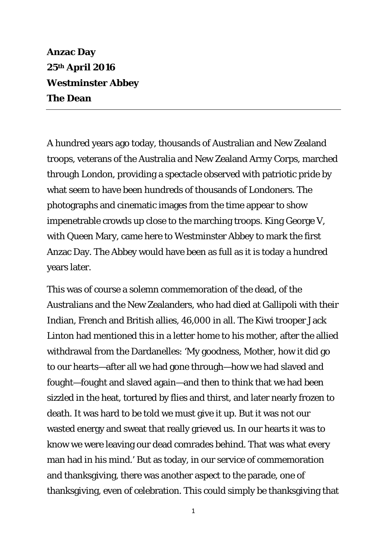**Anzac Day 25th April 2016 Westminster Abbey The Dean** 

A hundred years ago today, thousands of Australian and New Zealand troops, veterans of the Australia and New Zealand Army Corps, marched through London, providing a spectacle observed with patriotic pride by what seem to have been hundreds of thousands of Londoners. The photographs and cinematic images from the time appear to show impenetrable crowds up close to the marching troops. King George V, with Queen Mary, came here to Westminster Abbey to mark the first Anzac Day. The Abbey would have been as full as it is today a hundred years later.

This was of course a solemn commemoration of the dead, of the Australians and the New Zealanders, who had died at Gallipoli with their Indian, French and British allies, 46,000 in all. The Kiwi trooper Jack Linton had mentioned this in a letter home to his mother, after the allied withdrawal from the Dardanelles: 'My goodness, Mother, how it did go to our hearts—after all we had gone through—how we had slaved and fought—fought and slaved again—and then to think that we had been sizzled in the heat, tortured by flies and thirst, and later nearly frozen to death. It was hard to be told we must give it up. But it was not our wasted energy and sweat that really grieved us. In our hearts it was to know we were leaving our dead comrades behind. That was what every man had in his mind.' But as today, in our service of commemoration and thanksgiving, there was another aspect to the parade, one of thanksgiving, even of celebration. This could simply be thanksgiving that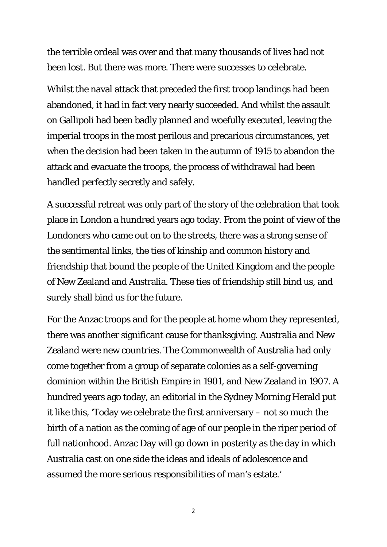the terrible ordeal was over and that many thousands of lives had not been lost. But there was more. There were successes to celebrate.

Whilst the naval attack that preceded the first troop landings had been abandoned, it had in fact very nearly succeeded. And whilst the assault on Gallipoli had been badly planned and woefully executed, leaving the imperial troops in the most perilous and precarious circumstances, yet when the decision had been taken in the autumn of 1915 to abandon the attack and evacuate the troops, the process of withdrawal had been handled perfectly secretly and safely.

A successful retreat was only part of the story of the celebration that took place in London a hundred years ago today. From the point of view of the Londoners who came out on to the streets, there was a strong sense of the sentimental links, the ties of kinship and common history and friendship that bound the people of the United Kingdom and the people of New Zealand and Australia. These ties of friendship still bind us, and surely shall bind us for the future.

For the Anzac troops and for the people at home whom they represented, there was another significant cause for thanksgiving. Australia and New Zealand were new countries. The Commonwealth of Australia had only come together from a group of separate colonies as a self-governing dominion within the British Empire in 1901, and New Zealand in 1907. A hundred years ago today, an editorial in the Sydney Morning Herald put it like this, 'Today we celebrate the first anniversary – not so much the birth of a nation as the coming of age of our people in the riper period of full nationhood. Anzac Day will go down in posterity as the day in which Australia cast on one side the ideas and ideals of adolescence and assumed the more serious responsibilities of man's estate.'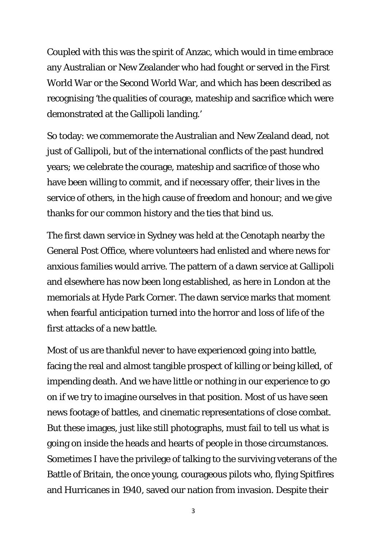Coupled with this was the spirit of Anzac, which would in time embrace any Australian or New Zealander who had fought or served in the First World War or the Second World War, and which has been described as recognising 'the qualities of courage, mateship and sacrifice which were demonstrated at the Gallipoli landing.'

So today: we commemorate the Australian and New Zealand dead, not just of Gallipoli, but of the international conflicts of the past hundred years; we celebrate the courage, mateship and sacrifice of those who have been willing to commit, and if necessary offer, their lives in the service of others, in the high cause of freedom and honour; and we give thanks for our common history and the ties that bind us.

The first dawn service in Sydney was held at the Cenotaph nearby the General Post Office, where volunteers had enlisted and where news for anxious families would arrive. The pattern of a dawn service at Gallipoli and elsewhere has now been long established, as here in London at the memorials at Hyde Park Corner. The dawn service marks that moment when fearful anticipation turned into the horror and loss of life of the first attacks of a new battle.

Most of us are thankful never to have experienced going into battle, facing the real and almost tangible prospect of killing or being killed, of impending death. And we have little or nothing in our experience to go on if we try to imagine ourselves in that position. Most of us have seen news footage of battles, and cinematic representations of close combat. But these images, just like still photographs, must fail to tell us what is going on inside the heads and hearts of people in those circumstances. Sometimes I have the privilege of talking to the surviving veterans of the Battle of Britain, the once young, courageous pilots who, flying Spitfires and Hurricanes in 1940, saved our nation from invasion. Despite their